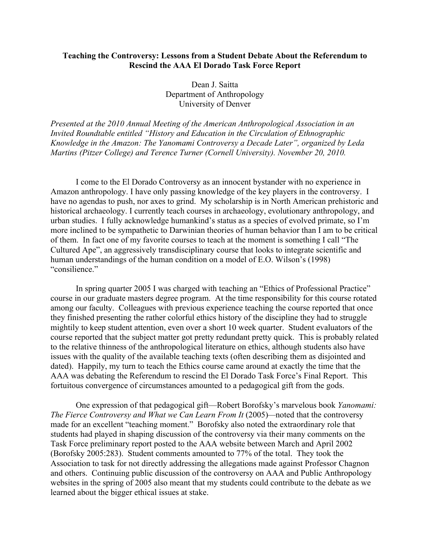## **Teaching the Controversy: Lessons from a Student Debate About the Referendum to Rescind the AAA El Dorado Task Force Report**

Dean J. Saitta Department of Anthropology University of Denver

*Presented at the 2010 Annual Meeting of the American Anthropological Association in an Invited Roundtable entitled "History and Education in the Circulation of Ethnographic Knowledge in the Amazon: The Yanomami Controversy a Decade Later", organized by Leda Martins (Pitzer College) and Terence Turner (Cornell University). November 20, 2010.*

I come to the El Dorado Controversy as an innocent bystander with no experience in Amazon anthropology. I have only passing knowledge of the key players in the controversy. I have no agendas to push, nor axes to grind. My scholarship is in North American prehistoric and historical archaeology. I currently teach courses in archaeology, evolutionary anthropology, and urban studies. I fully acknowledge humankind's status as a species of evolved primate, so I'm more inclined to be sympathetic to Darwinian theories of human behavior than I am to be critical of them. In fact one of my favorite courses to teach at the moment is something I call "The Cultured Ape", an aggressively transdisciplinary course that looks to integrate scientific and human understandings of the human condition on a model of E.O. Wilson's (1998) "consilience."

In spring quarter 2005 I was charged with teaching an "Ethics of Professional Practice" course in our graduate masters degree program. At the time responsibility for this course rotated among our faculty. Colleagues with previous experience teaching the course reported that once they finished presenting the rather colorful ethics history of the discipline they had to struggle mightily to keep student attention, even over a short 10 week quarter. Student evaluators of the course reported that the subject matter got pretty redundant pretty quick. This is probably related to the relative thinness of the anthropological literature on ethics, although students also have issues with the quality of the available teaching texts (often describing them as disjointed and dated). Happily, my turn to teach the Ethics course came around at exactly the time that the AAA was debating the Referendum to rescind the El Dorado Task Force's Final Report. This fortuitous convergence of circumstances amounted to a pedagogical gift from the gods.

One expression of that pedagogical gift—Robert Borofsky's marvelous book *Yanomami: The Fierce Controversy and What we Can Learn From It* (2005)*—*noted that the controversy made for an excellent "teaching moment." Borofsky also noted the extraordinary role that students had played in shaping discussion of the controversy via their many comments on the Task Force preliminary report posted to the AAA website between March and April 2002 (Borofsky 2005:283). Student comments amounted to 77% of the total. They took the Association to task for not directly addressing the allegations made against Professor Chagnon and others. Continuing public discussion of the controversy on AAA and Public Anthropology websites in the spring of 2005 also meant that my students could contribute to the debate as we learned about the bigger ethical issues at stake.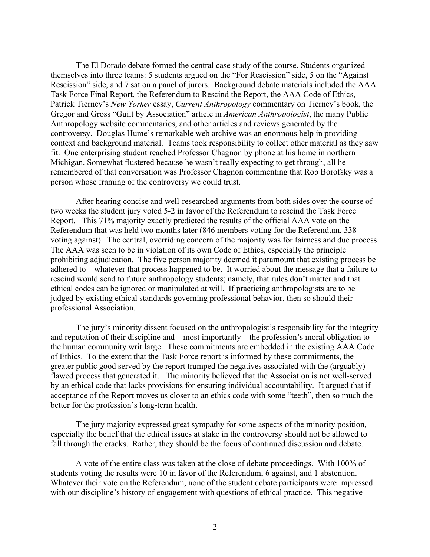The El Dorado debate formed the central case study of the course. Students organized themselves into three teams: 5 students argued on the "For Rescission" side, 5 on the "Against Rescission" side, and 7 sat on a panel of jurors. Background debate materials included the AAA Task Force Final Report, the Referendum to Rescind the Report, the AAA Code of Ethics, Patrick Tierney's *New Yorker* essay, *Current Anthropology* commentary on Tierney's book, the Gregor and Gross "Guilt by Association" article in *American Anthropologist*, the many Public Anthropology website commentaries, and other articles and reviews generated by the controversy. Douglas Hume's remarkable web archive was an enormous help in providing context and background material. Teams took responsibility to collect other material as they saw fit. One enterprising student reached Professor Chagnon by phone at his home in northern Michigan. Somewhat flustered because he wasn't really expecting to get through, all he remembered of that conversation was Professor Chagnon commenting that Rob Borofsky was a person whose framing of the controversy we could trust.

After hearing concise and well-researched arguments from both sides over the course of two weeks the student jury voted 5-2 in favor of the Referendum to rescind the Task Force Report. This 71% majority exactly predicted the results of the official AAA vote on the Referendum that was held two months later (846 members voting for the Referendum, 338 voting against). The central, overriding concern of the majority was for fairness and due process. The AAA was seen to be in violation of its own Code of Ethics, especially the principle prohibiting adjudication. The five person majority deemed it paramount that existing process be adhered to—whatever that process happened to be. It worried about the message that a failure to rescind would send to future anthropology students; namely, that rules don't matter and that ethical codes can be ignored or manipulated at will. If practicing anthropologists are to be judged by existing ethical standards governing professional behavior, then so should their professional Association.

The jury's minority dissent focused on the anthropologist's responsibility for the integrity and reputation of their discipline and—most importantly—the profession's moral obligation to the human community writ large. These commitments are embedded in the existing AAA Code of Ethics. To the extent that the Task Force report is informed by these commitments, the greater public good served by the report trumped the negatives associated with the (arguably) flawed process that generated it. The minority believed that the Association is not well-served by an ethical code that lacks provisions for ensuring individual accountability. It argued that if acceptance of the Report moves us closer to an ethics code with some "teeth", then so much the better for the profession's long-term health.

The jury majority expressed great sympathy for some aspects of the minority position, especially the belief that the ethical issues at stake in the controversy should not be allowed to fall through the cracks. Rather, they should be the focus of continued discussion and debate.

A vote of the entire class was taken at the close of debate proceedings. With 100% of students voting the results were 10 in favor of the Referendum, 6 against, and 1 abstention. Whatever their vote on the Referendum, none of the student debate participants were impressed with our discipline's history of engagement with questions of ethical practice. This negative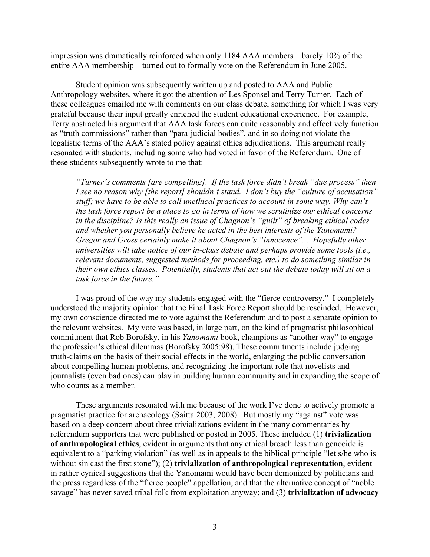impression was dramatically reinforced when only 1184 AAA members—barely 10% of the entire AAA membership—turned out to formally vote on the Referendum in June 2005.

Student opinion was subsequently written up and posted to AAA and Public Anthropology websites, where it got the attention of Les Sponsel and Terry Turner. Each of these colleagues emailed me with comments on our class debate, something for which I was very grateful because their input greatly enriched the student educational experience. For example, Terry abstracted his argument that AAA task forces can quite reasonably and effectively function as "truth commissions" rather than "para-judicial bodies", and in so doing not violate the legalistic terms of the AAA's stated policy against ethics adjudications. This argument really resonated with students, including some who had voted in favor of the Referendum. One of these students subsequently wrote to me that:

*"Turner's comments [are compelling]. If the task force didn't break "due process" then I see no reason why [the report] shouldn't stand. I don't buy the "culture of accusation" stuff; we have to be able to call unethical practices to account in some way. Why can't the task force report be a place to go in terms of how we scrutinize our ethical concerns in the discipline? Is this really an issue of Chagnon's "guilt" of breaking ethical codes and whether you personally believe he acted in the best interests of the Yanomami? Gregor and Gross certainly make it about Chagnon's "innocence"... Hopefully other universities will take notice of our in-class debate and perhaps provide some tools (i.e., relevant documents, suggested methods for proceeding, etc.) to do something similar in their own ethics classes. Potentially, students that act out the debate today will sit on a task force in the future."*

I was proud of the way my students engaged with the "fierce controversy." I completely understood the majority opinion that the Final Task Force Report should be rescinded. However, my own conscience directed me to vote against the Referendum and to post a separate opinion to the relevant websites. My vote was based, in large part, on the kind of pragmatist philosophical commitment that Rob Borofsky, in his *Yanomami* book, champions as "another way" to engage the profession's ethical dilemmas (Borofsky 2005:98). These commitments include judging truth-claims on the basis of their social effects in the world, enlarging the public conversation about compelling human problems, and recognizing the important role that novelists and journalists (even bad ones) can play in building human community and in expanding the scope of who counts as a member.

These arguments resonated with me because of the work I've done to actively promote a pragmatist practice for archaeology (Saitta 2003, 2008). But mostly my "against" vote was based on a deep concern about three trivializations evident in the many commentaries by referendum supporters that were published or posted in 2005. These included (1) **trivialization of anthropological ethics**, evident in arguments that any ethical breach less than genocide is equivalent to a "parking violation" (as well as in appeals to the biblical principle "let s/he who is without sin cast the first stone"); (2) **trivialization of anthropological representation**, evident in rather cynical suggestions that the Yanomami would have been demonized by politicians and the press regardless of the "fierce people" appellation, and that the alternative concept of "noble savage" has never saved tribal folk from exploitation anyway; and (3) **trivialization of advocacy**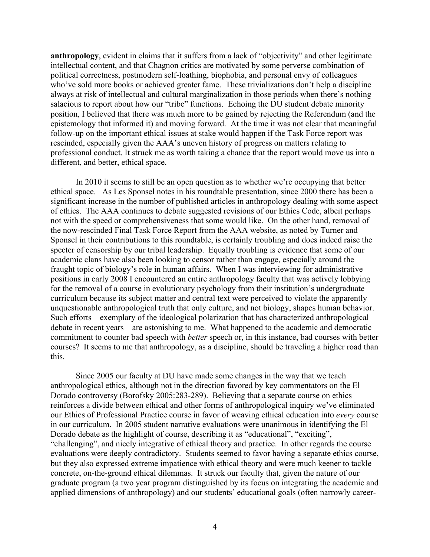**anthropology**, evident in claims that it suffers from a lack of "objectivity" and other legitimate intellectual content, and that Chagnon critics are motivated by some perverse combination of political correctness, postmodern self-loathing, biophobia, and personal envy of colleagues who've sold more books or achieved greater fame. These trivializations don't help a discipline always at risk of intellectual and cultural marginalization in those periods when there's nothing salacious to report about how our "tribe" functions. Echoing the DU student debate minority position, I believed that there was much more to be gained by rejecting the Referendum (and the epistemology that informed it) and moving forward. At the time it was not clear that meaningful follow-up on the important ethical issues at stake would happen if the Task Force report was rescinded, especially given the AAA's uneven history of progress on matters relating to professional conduct. It struck me as worth taking a chance that the report would move us into a different, and better, ethical space.

In 2010 it seems to still be an open question as to whether we're occupying that better ethical space. As Les Sponsel notes in his roundtable presentation, since 2000 there has been a significant increase in the number of published articles in anthropology dealing with some aspect of ethics. The AAA continues to debate suggested revisions of our Ethics Code, albeit perhaps not with the speed or comprehensiveness that some would like. On the other hand, removal of the now-rescinded Final Task Force Report from the AAA website, as noted by Turner and Sponsel in their contributions to this roundtable, is certainly troubling and does indeed raise the specter of censorship by our tribal leadership. Equally troubling is evidence that some of our academic clans have also been looking to censor rather than engage, especially around the fraught topic of biology's role in human affairs. When I was interviewing for administrative positions in early 2008 I encountered an entire anthropology faculty that was actively lobbying for the removal of a course in evolutionary psychology from their institution's undergraduate curriculum because its subject matter and central text were perceived to violate the apparently unquestionable anthropological truth that only culture, and not biology, shapes human behavior. Such efforts—exemplary of the ideological polarization that has characterized anthropological debate in recent years—are astonishing to me. What happened to the academic and democratic commitment to counter bad speech with *better* speech or, in this instance, bad courses with better courses? It seems to me that anthropology, as a discipline, should be traveling a higher road than this.

Since 2005 our faculty at DU have made some changes in the way that we teach anthropological ethics, although not in the direction favored by key commentators on the El Dorado controversy (Borofsky 2005:283-289). Believing that a separate course on ethics reinforces a divide between ethical and other forms of anthropological inquiry we've eliminated our Ethics of Professional Practice course in favor of weaving ethical education into *every* course in our curriculum. In 2005 student narrative evaluations were unanimous in identifying the El Dorado debate as the highlight of course, describing it as "educational", "exciting", "challenging", and nicely integrative of ethical theory and practice. In other regards the course evaluations were deeply contradictory. Students seemed to favor having a separate ethics course, but they also expressed extreme impatience with ethical theory and were much keener to tackle concrete, on-the-ground ethical dilemmas. It struck our faculty that, given the nature of our graduate program (a two year program distinguished by its focus on integrating the academic and applied dimensions of anthropology) and our students' educational goals (often narrowly career